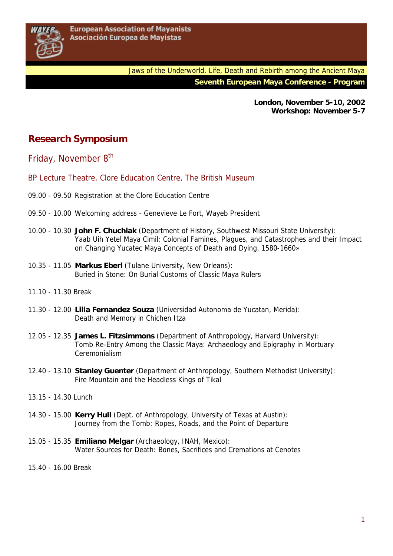**London, November 5-10, 2002 Workshop: November 5-7** 

## **Research Symposium**

Friday, November 8<sup>th</sup>

- BP Lecture Theatre, Clore Education Centre, The British Museum
- 09.00 09.50 Registration at the Clore Education Centre
- 09.50 10.00 Welcoming address Genevieve Le Fort, Wayeb President
- 10.00 10.30 **John F. Chuchiak** (Department of History, Southwest Missouri State University): Yaab Uih Yetel Maya Cimil: Colonial Famines, Plagues, and Catastrophes and their Impact on Changing Yucatec Maya Concepts of Death and Dying, 1580-1660»
- 10.35 11.05 **Markus Eberl** (Tulane University, New Orleans): Buried in Stone: On Burial Customs of Classic Maya Rulers
- 11.10 11.30 Break
- 11.30 12.00 **Lilia Fernandez Souza** (Universidad Autonoma de Yucatan, Merida): Death and Memory in Chichen Itza
- 12.05 12.35 **James L. Fitzsimmons** (Department of Anthropology, Harvard University): Tomb Re-Entry Among the Classic Maya: Archaeology and Epigraphy in Mortuary Ceremonialism
- 12.40 13.10 **Stanley Guenter** (Department of Anthropology, Southern Methodist University): Fire Mountain and the Headless Kings of Tikal
- 13.15 14.30 Lunch
- 14.30 15.00 **Kerry Hull** (Dept. of Anthropology, University of Texas at Austin): Journey from the Tomb: Ropes, Roads, and the Point of Departure
- 15.05 15.35 **Emiliano Melgar** (Archaeology, INAH, Mexico): Water Sources for Death: Bones, Sacrifices and Cremations at Cenotes
- 15.40 16.00 Break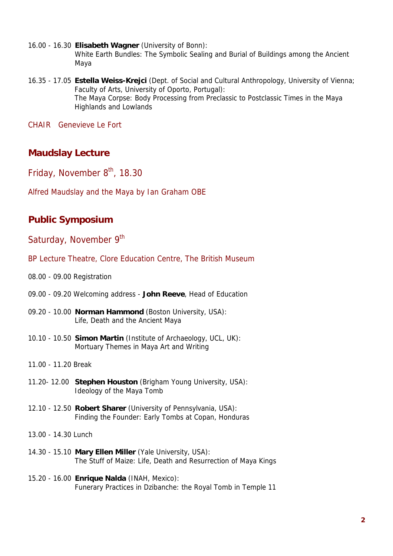- 16.00 16.30 **Elisabeth Wagner** (University of Bonn): White Earth Bundles: The Symbolic Sealing and Burial of Buildings among the Ancient Maya
- 16.35 17.05 **Estella Weiss-Krejci** (Dept. of Social and Cultural Anthropology, University of Vienna; Faculty of Arts, University of Oporto, Portugal): The Maya Corpse: Body Processing from Preclassic to Postclassic Times in the Maya Highlands and Lowlands

CHAIR Genevieve Le Fort

## **Maudslay Lecture**

Friday, November  $8<sup>th</sup>$ , 18.30

Alfred Maudslay and the Maya by Ian Graham OBE

## **Public Symposium**

Saturday, November 9th

- BP Lecture Theatre, Clore Education Centre, The British Museum
- 08.00 09.00 Registration
- 09.00 09.20 Welcoming address **John Reeve**, Head of Education
- 09.20 10.00 **Norman Hammond** (Boston University, USA): Life, Death and the Ancient Maya
- 10.10 10.50 **Simon Martin** (Institute of Archaeology, UCL, UK): Mortuary Themes in Maya Art and Writing
- 11.00 11.20 Break
- 11.20- 12.00 **Stephen Houston** (Brigham Young University, USA): Ideology of the Maya Tomb
- 12.10 12.50 **Robert Sharer** (University of Pennsylvania, USA): Finding the Founder: Early Tombs at Copan, Honduras

13.00 - 14.30 Lunch

- 14.30 15.10 **Mary Ellen Miller** (Yale University, USA): The Stuff of Maize: Life, Death and Resurrection of Maya Kings
- 15.20 16.00 **Enrique Nalda** (INAH, Mexico): Funerary Practices in Dzibanche: the Royal Tomb in Temple 11